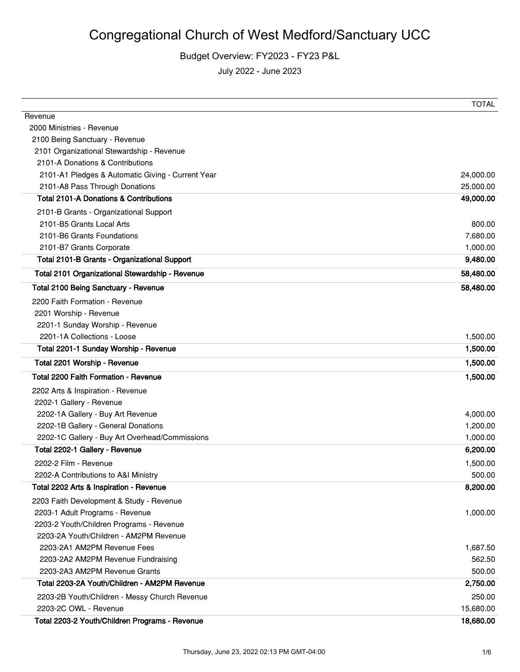### Budget Overview: FY2023 - FY23 P&L

|                                                   | <b>TOTAL</b> |
|---------------------------------------------------|--------------|
| Revenue                                           |              |
| 2000 Ministries - Revenue                         |              |
| 2100 Being Sanctuary - Revenue                    |              |
| 2101 Organizational Stewardship - Revenue         |              |
| 2101-A Donations & Contributions                  |              |
| 2101-A1 Pledges & Automatic Giving - Current Year | 24,000.00    |
| 2101-A8 Pass Through Donations                    | 25,000.00    |
| <b>Total 2101-A Donations &amp; Contributions</b> | 49,000.00    |
| 2101-B Grants - Organizational Support            |              |
| 2101-B5 Grants Local Arts                         | 800.00       |
| 2101-B6 Grants Foundations                        | 7,680.00     |
| 2101-B7 Grants Corporate                          | 1,000.00     |
| Total 2101-B Grants - Organizational Support      | 9,480.00     |
| Total 2101 Organizational Stewardship - Revenue   | 58,480.00    |
| <b>Total 2100 Being Sanctuary - Revenue</b>       | 58,480.00    |
| 2200 Faith Formation - Revenue                    |              |
| 2201 Worship - Revenue                            |              |
| 2201-1 Sunday Worship - Revenue                   |              |
| 2201-1A Collections - Loose                       | 1,500.00     |
| Total 2201-1 Sunday Worship - Revenue             | 1,500.00     |
| Total 2201 Worship - Revenue                      | 1,500.00     |
| Total 2200 Faith Formation - Revenue              | 1,500.00     |
| 2202 Arts & Inspiration - Revenue                 |              |
| 2202-1 Gallery - Revenue                          |              |
| 2202-1A Gallery - Buy Art Revenue                 | 4,000.00     |
| 2202-1B Gallery - General Donations               | 1,200.00     |
| 2202-1C Gallery - Buy Art Overhead/Commissions    | 1,000.00     |
| Total 2202-1 Gallery - Revenue                    | 6,200.00     |
| 2202-2 Film - Revenue                             | 1,500.00     |
| 2202-A Contributions to A&I Ministry              | 500.00       |
| Total 2202 Arts & Inspiration - Revenue           | 8,200.00     |
| 2203 Faith Development & Study - Revenue          |              |
| 2203-1 Adult Programs - Revenue                   | 1,000.00     |
| 2203-2 Youth/Children Programs - Revenue          |              |
| 2203-2A Youth/Children - AM2PM Revenue            |              |
| 2203-2A1 AM2PM Revenue Fees                       | 1,687.50     |
| 2203-2A2 AM2PM Revenue Fundraising                | 562.50       |
| 2203-2A3 AM2PM Revenue Grants                     | 500.00       |
| Total 2203-2A Youth/Children - AM2PM Revenue      | 2,750.00     |
| 2203-2B Youth/Children - Messy Church Revenue     | 250.00       |
| 2203-2C OWL - Revenue                             | 15,680.00    |
| Total 2203-2 Youth/Children Programs - Revenue    | 18,680.00    |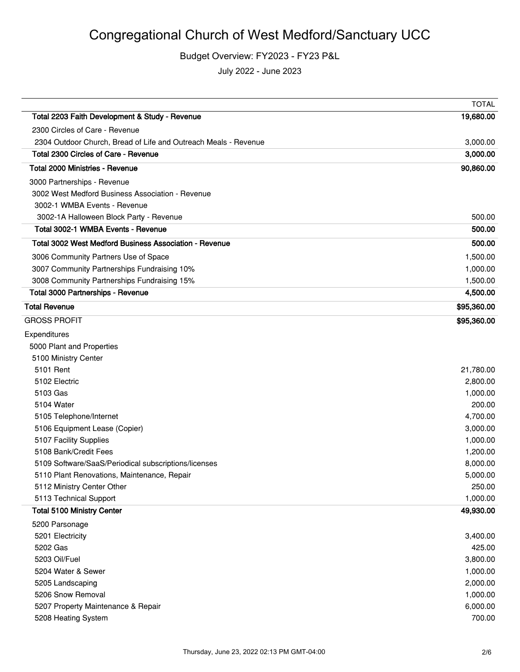# Congregational Church of West Medford/Sanctuary UCC

#### Budget Overview: FY2023 - FY23 P&L

|                                                                 | <b>TOTAL</b> |
|-----------------------------------------------------------------|--------------|
| Total 2203 Faith Development & Study - Revenue                  | 19,680.00    |
| 2300 Circles of Care - Revenue                                  |              |
| 2304 Outdoor Church, Bread of Life and Outreach Meals - Revenue | 3,000.00     |
| Total 2300 Circles of Care - Revenue                            | 3,000.00     |
| Total 2000 Ministries - Revenue                                 | 90,860.00    |
| 3000 Partnerships - Revenue                                     |              |
| 3002 West Medford Business Association - Revenue                |              |
| 3002-1 WMBA Events - Revenue                                    |              |
| 3002-1A Halloween Block Party - Revenue                         | 500.00       |
| Total 3002-1 WMBA Events - Revenue                              | 500.00       |
| Total 3002 West Medford Business Association - Revenue          | 500.00       |
| 3006 Community Partners Use of Space                            | 1,500.00     |
| 3007 Community Partnerships Fundraising 10%                     | 1,000.00     |
| 3008 Community Partnerships Fundraising 15%                     | 1,500.00     |
| Total 3000 Partnerships - Revenue                               | 4,500.00     |
| <b>Total Revenue</b>                                            | \$95,360.00  |
| <b>GROSS PROFIT</b>                                             | \$95,360.00  |
| Expenditures                                                    |              |
| 5000 Plant and Properties                                       |              |
| 5100 Ministry Center                                            |              |
| 5101 Rent                                                       | 21,780.00    |
| 5102 Electric                                                   | 2,800.00     |
| 5103 Gas                                                        | 1,000.00     |
| 5104 Water                                                      | 200.00       |
| 5105 Telephone/Internet                                         | 4,700.00     |
| 5106 Equipment Lease (Copier)                                   | 3,000.00     |
| 5107 Facility Supplies                                          | 1,000.00     |
| 5108 Bank/Credit Fees                                           | 1,200.00     |
| 5109 Software/SaaS/Periodical subscriptions/licenses            | 8,000.00     |
| 5110 Plant Renovations, Maintenance, Repair                     | 5,000.00     |
| 5112 Ministry Center Other                                      | 250.00       |
| 5113 Technical Support                                          | 1,000.00     |
| <b>Total 5100 Ministry Center</b>                               | 49,930.00    |
| 5200 Parsonage                                                  |              |
| 5201 Electricity                                                | 3,400.00     |
| 5202 Gas                                                        | 425.00       |
| 5203 Oil/Fuel                                                   | 3,800.00     |
| 5204 Water & Sewer                                              | 1,000.00     |
| 5205 Landscaping                                                | 2,000.00     |
| 5206 Snow Removal                                               | 1,000.00     |
| 5207 Property Maintenance & Repair                              | 6,000.00     |
| 5208 Heating System                                             | 700.00       |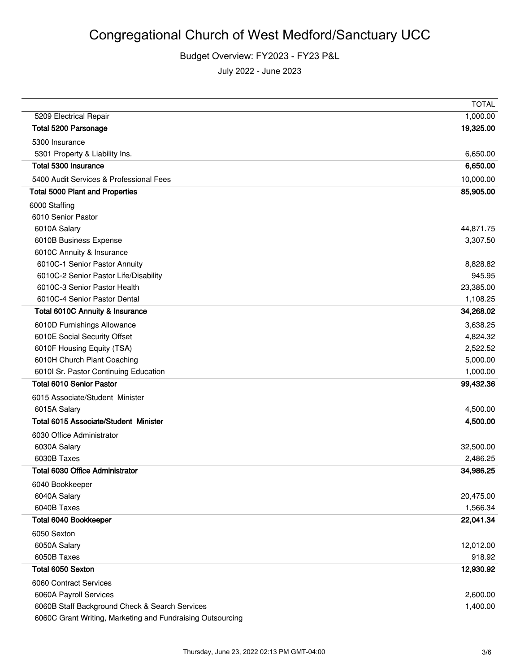### Budget Overview: FY2023 - FY23 P&L

|                                                            | <b>TOTAL</b> |
|------------------------------------------------------------|--------------|
| 5209 Electrical Repair                                     | 1,000.00     |
| Total 5200 Parsonage                                       | 19,325.00    |
| 5300 Insurance                                             |              |
| 5301 Property & Liability Ins.                             | 6,650.00     |
| Total 5300 Insurance                                       | 6,650.00     |
| 5400 Audit Services & Professional Fees                    | 10,000.00    |
| <b>Total 5000 Plant and Properties</b>                     | 85,905.00    |
| 6000 Staffing                                              |              |
| 6010 Senior Pastor                                         |              |
| 6010A Salary                                               | 44,871.75    |
| 6010B Business Expense                                     | 3,307.50     |
| 6010C Annuity & Insurance                                  |              |
| 6010C-1 Senior Pastor Annuity                              | 8,828.82     |
| 6010C-2 Senior Pastor Life/Disability                      | 945.95       |
| 6010C-3 Senior Pastor Health                               | 23,385.00    |
| 6010C-4 Senior Pastor Dental                               | 1,108.25     |
| Total 6010C Annuity & Insurance                            | 34,268.02    |
| 6010D Furnishings Allowance                                | 3,638.25     |
| 6010E Social Security Offset                               | 4,824.32     |
| 6010F Housing Equity (TSA)                                 | 2,522.52     |
| 6010H Church Plant Coaching                                | 5,000.00     |
| 6010l Sr. Pastor Continuing Education                      | 1,000.00     |
| <b>Total 6010 Senior Pastor</b>                            | 99,432.36    |
| 6015 Associate/Student Minister                            |              |
| 6015A Salary                                               | 4,500.00     |
| <b>Total 6015 Associate/Student Minister</b>               | 4,500.00     |
| 6030 Office Administrator                                  |              |
| 6030A Salary                                               | 32,500.00    |
| 6030B Taxes                                                | 2,486.25     |
| <b>Total 6030 Office Administrator</b>                     | 34,986.25    |
| 6040 Bookkeeper                                            |              |
| 6040A Salary                                               | 20,475.00    |
| 6040B Taxes                                                | 1,566.34     |
| Total 6040 Bookkeeper                                      | 22,041.34    |
| 6050 Sexton                                                |              |
| 6050A Salary                                               | 12,012.00    |
| 6050B Taxes                                                | 918.92       |
| Total 6050 Sexton                                          | 12,930.92    |
| 6060 Contract Services                                     |              |
| 6060A Payroll Services                                     | 2,600.00     |
| 6060B Staff Background Check & Search Services             | 1,400.00     |
| 6060C Grant Writing, Marketing and Fundraising Outsourcing |              |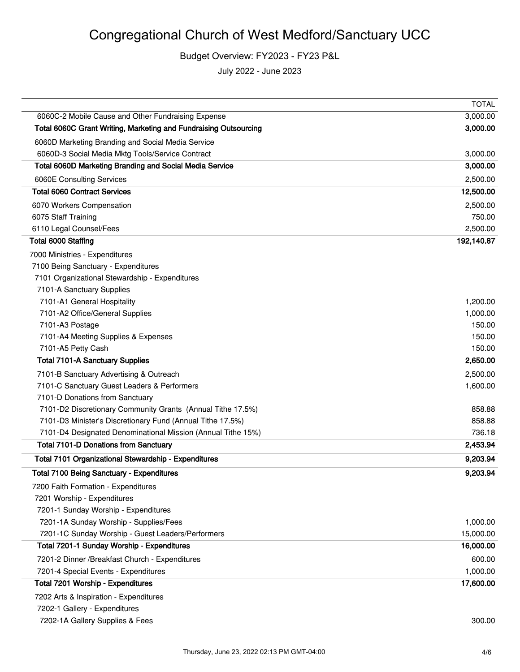# Congregational Church of West Medford/Sanctuary UCC

Budget Overview: FY2023 - FY23 P&L

|                                                                                        | <b>TOTAL</b>         |
|----------------------------------------------------------------------------------------|----------------------|
| 6060C-2 Mobile Cause and Other Fundraising Expense                                     | 3,000.00             |
| Total 6060C Grant Writing, Marketing and Fundraising Outsourcing                       | 3,000.00             |
| 6060D Marketing Branding and Social Media Service                                      |                      |
| 6060D-3 Social Media Mktg Tools/Service Contract                                       | 3,000.00             |
| Total 6060D Marketing Branding and Social Media Service                                | 3,000.00             |
| 6060E Consulting Services                                                              | 2,500.00             |
| <b>Total 6060 Contract Services</b>                                                    | 12,500.00            |
| 6070 Workers Compensation                                                              | 2,500.00             |
| 6075 Staff Training                                                                    | 750.00               |
| 6110 Legal Counsel/Fees                                                                | 2,500.00             |
| Total 6000 Staffing                                                                    | 192,140.87           |
| 7000 Ministries - Expenditures                                                         |                      |
| 7100 Being Sanctuary - Expenditures                                                    |                      |
| 7101 Organizational Stewardship - Expenditures                                         |                      |
| 7101-A Sanctuary Supplies                                                              |                      |
| 7101-A1 General Hospitality                                                            | 1,200.00             |
| 7101-A2 Office/General Supplies                                                        | 1,000.00             |
| 7101-A3 Postage                                                                        | 150.00               |
| 7101-A4 Meeting Supplies & Expenses<br>7101-A5 Petty Cash                              | 150.00<br>150.00     |
| <b>Total 7101-A Sanctuary Supplies</b>                                                 | 2,650.00             |
|                                                                                        |                      |
| 7101-B Sanctuary Advertising & Outreach<br>7101-C Sanctuary Guest Leaders & Performers | 2,500.00<br>1,600.00 |
| 7101-D Donations from Sanctuary                                                        |                      |
| 7101-D2 Discretionary Community Grants (Annual Tithe 17.5%)                            | 858.88               |
| 7101-D3 Minister's Discretionary Fund (Annual Tithe 17.5%)                             | 858.88               |
| 7101-D4 Designated Denominational Mission (Annual Tithe 15%)                           | 736.18               |
| <b>Total 7101-D Donations from Sanctuary</b>                                           | 2,453.94             |
| Total 7101 Organizational Stewardship - Expenditures                                   | 9,203.94             |
| <b>Total 7100 Being Sanctuary - Expenditures</b>                                       | 9,203.94             |
| 7200 Faith Formation - Expenditures                                                    |                      |
| 7201 Worship - Expenditures                                                            |                      |
| 7201-1 Sunday Worship - Expenditures                                                   |                      |
| 7201-1A Sunday Worship - Supplies/Fees                                                 | 1,000.00             |
| 7201-1C Sunday Worship - Guest Leaders/Performers                                      | 15,000.00            |
| Total 7201-1 Sunday Worship - Expenditures                                             | 16,000.00            |
| 7201-2 Dinner / Breakfast Church - Expenditures                                        | 600.00               |
| 7201-4 Special Events - Expenditures                                                   | 1,000.00             |
| Total 7201 Worship - Expenditures                                                      | 17,600.00            |
| 7202 Arts & Inspiration - Expenditures                                                 |                      |
| 7202-1 Gallery - Expenditures                                                          |                      |
| 7202-1A Gallery Supplies & Fees                                                        | 300.00               |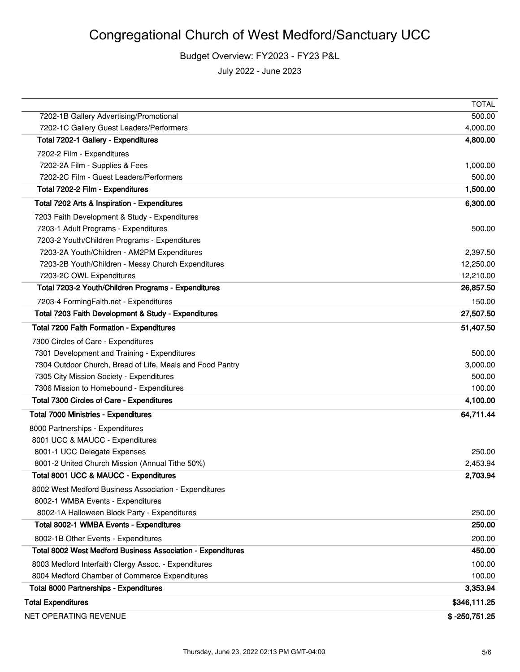Budget Overview: FY2023 - FY23 P&L

|                                                             | <b>TOTAL</b>    |
|-------------------------------------------------------------|-----------------|
| 7202-1B Gallery Advertising/Promotional                     | 500.00          |
| 7202-1C Gallery Guest Leaders/Performers                    | 4,000.00        |
| Total 7202-1 Gallery - Expenditures                         | 4,800.00        |
| 7202-2 Film - Expenditures                                  |                 |
| 7202-2A Film - Supplies & Fees                              | 1,000.00        |
| 7202-2C Film - Guest Leaders/Performers                     | 500.00          |
| Total 7202-2 Film - Expenditures                            | 1,500.00        |
| Total 7202 Arts & Inspiration - Expenditures                | 6,300.00        |
| 7203 Faith Development & Study - Expenditures               |                 |
| 7203-1 Adult Programs - Expenditures                        | 500.00          |
| 7203-2 Youth/Children Programs - Expenditures               |                 |
| 7203-2A Youth/Children - AM2PM Expenditures                 | 2,397.50        |
| 7203-2B Youth/Children - Messy Church Expenditures          | 12,250.00       |
| 7203-2C OWL Expenditures                                    | 12,210.00       |
| Total 7203-2 Youth/Children Programs - Expenditures         | 26,857.50       |
| 7203-4 FormingFaith.net - Expenditures                      | 150.00          |
| Total 7203 Faith Development & Study - Expenditures         | 27,507.50       |
| Total 7200 Faith Formation - Expenditures                   | 51,407.50       |
| 7300 Circles of Care - Expenditures                         |                 |
| 7301 Development and Training - Expenditures                | 500.00          |
| 7304 Outdoor Church, Bread of Life, Meals and Food Pantry   | 3,000.00        |
| 7305 City Mission Society - Expenditures                    | 500.00          |
| 7306 Mission to Homebound - Expenditures                    | 100.00          |
| Total 7300 Circles of Care - Expenditures                   | 4,100.00        |
| <b>Total 7000 Ministries - Expenditures</b>                 | 64,711.44       |
| 8000 Partnerships - Expenditures                            |                 |
| 8001 UCC & MAUCC - Expenditures                             |                 |
| 8001-1 UCC Delegate Expenses                                | 250.00          |
| 8001-2 United Church Mission (Annual Tithe 50%)             | 2,453.94        |
| Total 8001 UCC & MAUCC - Expenditures                       | 2,703.94        |
| 8002 West Medford Business Association - Expenditures       |                 |
| 8002-1 WMBA Events - Expenditures                           |                 |
| 8002-1A Halloween Block Party - Expenditures                | 250.00          |
| Total 8002-1 WMBA Events - Expenditures                     | 250.00          |
| 8002-1B Other Events - Expenditures                         | 200.00          |
| Total 8002 West Medford Business Association - Expenditures | 450.00          |
| 8003 Medford Interfaith Clergy Assoc. - Expenditures        | 100.00          |
| 8004 Medford Chamber of Commerce Expenditures               | 100.00          |
| <b>Total 8000 Partnerships - Expenditures</b>               | 3,353.94        |
| <b>Total Expenditures</b>                                   | \$346,111.25    |
| NET OPERATING REVENUE                                       | $$ -250,751.25$ |